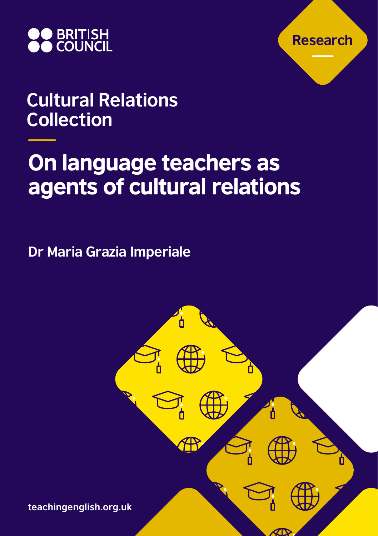



### **Cultural Relations Collection**

# On language teachers as agents of cultural relations

**Dr Maria Grazia Imperiale**

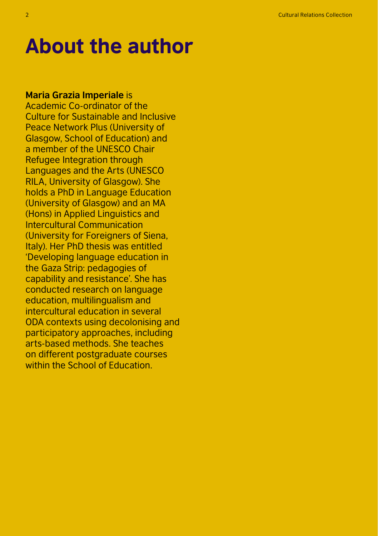## About the author

#### **Maria Grazia Imperiale** is

Academic Co-ordinator of the Culture for Sustainable and Inclusive Peace Network Plus (University of Glasgow, School of Education) and a member of the UNESCO Chair Refugee Integration through Languages and the Arts (UNESCO RILA, University of Glasgow). She holds a PhD in Language Education (University of Glasgow) and an MA (Hons) in Applied Linguistics and Intercultural Communication (University for Foreigners of Siena, Italy). Her PhD thesis was entitled 'Developing language education in the Gaza Strip: pedagogies of capability and resistance'. She has conducted research on language education, multilingualism and intercultural education in several ODA contexts using decolonising and participatory approaches, including arts-based methods. She teaches on different postgraduate courses within the School of Education.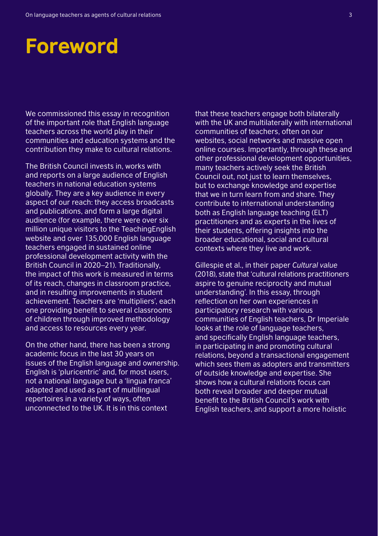### **Foreword**

We commissioned this essay in recognition of the important role that English language teachers across the world play in their communities and education systems and the contribution they make to cultural relations.

The British Council invests in, works with and reports on a large audience of English teachers in national education systems globally. They are a key audience in every aspect of our reach: they access broadcasts and publications, and form a large digital audience (for example, there were over six million unique visitors to the TeachingEnglish website and over 135,000 English language teachers engaged in sustained online professional development activity with the British Council in 2020–21). Traditionally, the impact of this work is measured in terms of its reach, changes in classroom practice, and in resulting improvements in student achievement. Teachers are 'multipliers', each one providing benefit to several classrooms of children through improved methodology and access to resources every year.

On the other hand, there has been a strong academic focus in the last 30 years on issues of the English language and ownership. English is 'pluricentric' and, for most users, not a national language but a 'lingua franca' adapted and used as part of multilingual repertoires in a variety of ways, often unconnected to the UK. It is in this context

that these teachers engage both bilaterally with the UK and multilaterally with international communities of teachers, often on our websites, social networks and massive open online courses. Importantly, through these and other professional development opportunities, many teachers actively seek the British Council out, not just to learn themselves. but to exchange knowledge and expertise that we in turn learn from and share. They contribute to international understanding both as English language teaching (ELT) practitioners and as experts in the lives of their students, offering insights into the broader educational, social and cultural contexts where they live and work.

Gillespie et al., in their paper *Cultural value* (2018), state that 'cultural relations practitioners aspire to genuine reciprocity and mutual understanding'. In this essay, through reflection on her own experiences in participatory research with various communities of English teachers, Dr Imperiale looks at the role of language teachers, and specifically English language teachers, in participating in and promoting cultural relations, beyond a transactional engagement which sees them as adopters and transmitters of outside knowledge and expertise. She shows how a cultural relations focus can both reveal broader and deeper mutual benefit to the British Council's work with English teachers, and support a more holistic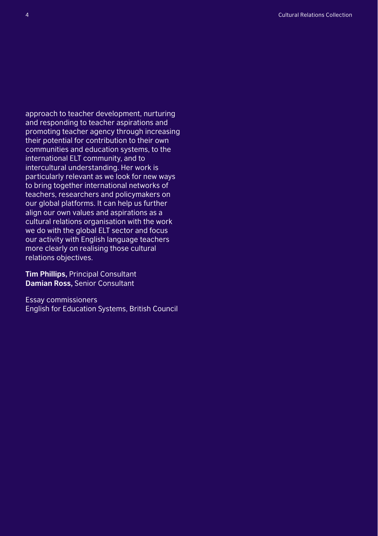approach to teacher development, nurturing and responding to teacher aspirations and promoting teacher agency through increasing their potential for contribution to their own communities and education systems, to the international ELT community, and to intercultural understanding. Her work is particularly relevant as we look for new ways to bring together international networks of teachers, researchers and policymakers on our global platforms. It can help us further align our own values and aspirations as a cultural relations organisation with the work we do with the global ELT sector and focus our activity with English language teachers more clearly on realising those cultural relations objectives.

**Tim Phillips,** Principal Consultant **Damian Ross,** Senior Consultant

Essay commissioners English for Education Systems, British Council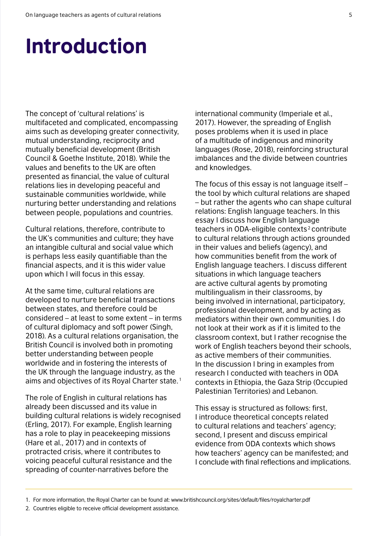## Introduction

The concept of 'cultural relations' is multifaceted and complicated, encompassing aims such as developing greater connectivity, mutual understanding, reciprocity and mutually beneficial development (British Council & Goethe Institute, 2018). While the values and benefits to the UK are often presented as financial, the value of cultural relations lies in developing peaceful and sustainable communities worldwide, while nurturing better understanding and relations between people, populations and countries.

Cultural relations, therefore, contribute to the UK's communities and culture; they have an intangible cultural and social value which is perhaps less easily quantifiable than the financial aspects, and it is this wider value upon which I will focus in this essay.

At the same time, cultural relations are developed to nurture beneficial transactions between states, and therefore could be considered – at least to some extent – in terms of cultural diplomacy and soft power (Singh, 2018). As a cultural relations organisation, the British Council is involved both in promoting better understanding between people worldwide and in fostering the interests of the UK through the language industry, as the aims and objectives of its Royal Charter state. <sup>1</sup>

The role of English in cultural relations has already been discussed and its value in building cultural relations is widely recognised (Erling, 2017). For example, English learning has a role to play in peacekeeping missions (Hare et al., 2017) and in contexts of protracted crisis, where it contributes to voicing peaceful cultural resistance and the spreading of counter-narratives before the

international community (Imperiale et al., 2017). However, the spreading of English poses problems when it is used in place of a multitude of indigenous and minority languages (Rose, 2018), reinforcing structural imbalances and the divide between countries and knowledges.

The focus of this essay is not language itself – the tool by which cultural relations are shaped – but rather the agents who can shape cultural relations: English language teachers. In this essay I discuss how English language teachers in ODA-eligible contexts 2 contribute to cultural relations through actions grounded in their values and beliefs (agency), and how communities benefit from the work of English language teachers. I discuss different situations in which language teachers are active cultural agents by promoting multilingualism in their classrooms, by being involved in international, participatory, professional development, and by acting as mediators within their own communities. I do not look at their work as if it is limited to the classroom context, but I rather recognise the work of English teachers beyond their schools, as active members of their communities. In the discussion I bring in examples from research I conducted with teachers in ODA contexts in Ethiopia, the Gaza Strip (Occupied Palestinian Territories) and Lebanon.

This essay is structured as follows: first, I introduce theoretical concepts related to cultural relations and teachers' agency; second, I present and discuss empirical evidence from ODA contexts which shows how teachers' agency can be manifested; and I conclude with final reflections and implications.

2. Countries eligible to receive official development assistance.

<sup>1.</sup> For more information, the Royal Charter can be found at: [www.britishcouncil.org/sites/default/files/royalcharter.pdf](http://www.britishcouncil.org/sites/default/files/royalcharter.pdf)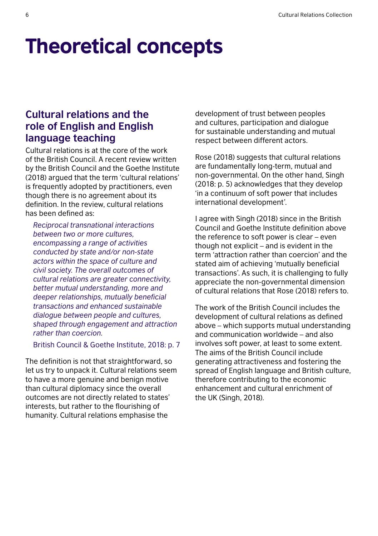## Theoretical concepts

### **Cultural relations and the role of English and English language teaching**

Cultural relations is at the core of the work of the British Council. A recent review written by the British Council and the Goethe Institute (2018) argued that the term 'cultural relations' is frequently adopted by practitioners, even though there is no agreement about its definition. In the review, cultural relations has been defined as:

*Reciprocal transnational interactions between two or more cultures, encompassing a range of activities conducted by state and/or non-state actors within the space of culture and civil society. The overall outcomes of cultural relations are greater connectivity, better mutual understanding, more and deeper relationships, mutually beneficial transactions and enhanced sustainable dialogue between people and cultures, shaped through engagement and attraction rather than coercion.* 

British Council & Goethe Institute, 2018: p. 7

The definition is not that straightforward, so let us try to unpack it. Cultural relations seem to have a more genuine and benign motive than cultural diplomacy since the overall outcomes are not directly related to states' interests, but rather to the flourishing of humanity. Cultural relations emphasise the

development of trust between peoples and cultures, participation and dialogue for sustainable understanding and mutual respect between different actors.

Rose (2018) suggests that cultural relations are fundamentally long-term, mutual and non-governmental. On the other hand, Singh (2018: p. 5) acknowledges that they develop 'in a continuum of soft power that includes international development'.

I agree with Singh (2018) since in the British Council and Goethe Institute definition above the reference to soft power is clear – even though not explicit – and is evident in the term 'attraction rather than coercion' and the stated aim of achieving 'mutually beneficial transactions'. As such, it is challenging to fully appreciate the non-governmental dimension of cultural relations that Rose (2018) refers to.

The work of the British Council includes the development of cultural relations as defined above – which supports mutual understanding and communication worldwide – and also involves soft power, at least to some extent. The aims of the British Council include generating attractiveness and fostering the spread of English language and British culture, therefore contributing to the economic enhancement and cultural enrichment of the UK (Singh, 2018).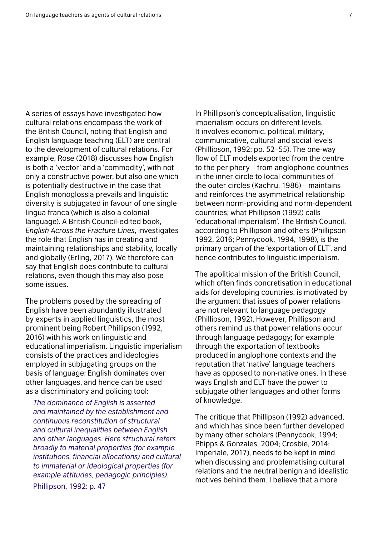A series of essays have investigated how cultural relations encompass the work of the British Council, noting that English and English language teaching (ELT) are central to the development of cultural relations. For example, Rose (2018) discusses how English is both a 'vector' and a 'commodity', with not only a constructive power, but also one which is potentially destructive in the case that English monoglossia prevails and linguistic diversity is subjugated in favour of one single lingua franca (which is also a colonial language). A British Council-edited book, *English Across the Fracture Lines*, investigates the role that English has in creating and maintaining relationships and stability, locally and globally (Erling, 2017). We therefore can say that English does contribute to cultural relations, even though this may also pose some issues.

The problems posed by the spreading of English have been abundantly illustrated by experts in applied linguistics, the most prominent being Robert Phillipson (1992, 2016) with his work on linguistic and educational imperialism. Linguistic imperialism consists of the practices and ideologies employed in subjugating groups on the basis of language: English dominates over other languages, and hence can be used as a discriminatory and policing tool:

*The dominance of English is asserted and maintained by the establishment and continuous reconstitution of structural and cultural inequalities between English and other languages. Here structural refers broadly to material properties (for example institutions, financial allocations) and cultural to immaterial or ideological properties (for example attitudes, pedagogic principles).* 

Phillipson, 1992: p. 47

In Phillipson's conceptualisation, linguistic imperialism occurs on different levels. It involves economic, political, military, communicative, cultural and social levels (Phillipson, 1992: pp. 52–55). The one-way flow of ELT models exported from the centre to the periphery – from anglophone countries in the inner circle to local communities of the outer circles (Kachru, 1986) – maintains and reinforces the asymmetrical relationship between norm-providing and norm-dependent countries; what Phillipson (1992) calls 'educational imperialism'. The British Council, according to Phillipson and others (Phillipson 1992, 2016; Pennycook, 1994, 1998), is the primary organ of the 'exportation of ELT', and hence contributes to linguistic imperialism.

The apolitical mission of the British Council, which often finds concretisation in educational aids for developing countries, is motivated by the argument that issues of power relations are not relevant to language pedagogy (Phillipson, 1992). However, Phillipson and others remind us that power relations occur through language pedagogy; for example through the exportation of textbooks produced in anglophone contexts and the reputation that 'native' language teachers have as opposed to non-native ones. In these ways English and ELT have the power to subjugate other languages and other forms of knowledge.

The critique that Phillipson (1992) advanced, and which has since been further developed by many other scholars (Pennycook, 1994; Phipps & Gonzales, 2004; Crosbie, 2014; Imperiale, 2017), needs to be kept in mind when discussing and problematising cultural relations and the neutral benign and idealistic motives behind them. I believe that a more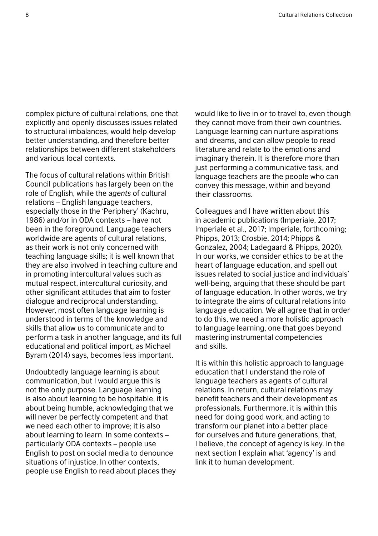complex picture of cultural relations, one that explicitly and openly discusses issues related to structural imbalances, would help develop better understanding, and therefore better relationships between different stakeholders and various local contexts.

The focus of cultural relations within British Council publications has largely been on the role of English, while the *agents* of cultural relations – English language teachers, especially those in the 'Periphery' (Kachru, 1986) and/or in ODA contexts – have not been in the foreground. Language teachers worldwide are agents of cultural relations, as their work is not only concerned with teaching language skills; it is well known that they are also involved in teaching culture and in promoting intercultural values such as mutual respect, intercultural curiosity, and other significant attitudes that aim to foster dialogue and reciprocal understanding. However, most often language learning is understood in terms of the knowledge and skills that allow us to communicate and to perform a task in another language, and its full educational and political import, as Michael Byram (2014) says, becomes less important.

Undoubtedly language learning is about communication, but I would argue this is not the only purpose. Language learning is also about learning to be hospitable, it is about being humble, acknowledging that we will never be perfectly competent and that we need each other to improve; it is also about learning to learn. In some contexts – particularly ODA contexts – people use English to post on social media to denounce situations of injustice. In other contexts, people use English to read about places they would like to live in or to travel to, even though they cannot move from their own countries. Language learning can nurture aspirations and dreams, and can allow people to read literature and relate to the emotions and imaginary therein. It is therefore more than just performing a communicative task, and language teachers are the people who can convey this message, within and beyond their classrooms.

Colleagues and I have written about this in academic publications (Imperiale, 2017; Imperiale et al., 2017; Imperiale, forthcoming; Phipps, 2013; Crosbie, 2014; Phipps & Gonzalez, 2004; Ladegaard & Phipps, 2020). In our works, we consider ethics to be at the heart of language education, and spell out issues related to social justice and individuals' well-being, arguing that these should be part of language education. In other words, we try to integrate the aims of cultural relations into language education. We all agree that in order to do this, we need a more holistic approach to language learning, one that goes beyond mastering instrumental competencies and skills.

It is within this holistic approach to language education that I understand the role of language teachers as agents of cultural relations. In return, cultural relations may benefit teachers and their development as professionals. Furthermore, it is within this need for doing good work, and acting to transform our planet into a better place for ourselves and future generations, that, I believe, the concept of agency is key. In the next section I explain what 'agency' is and link it to human development.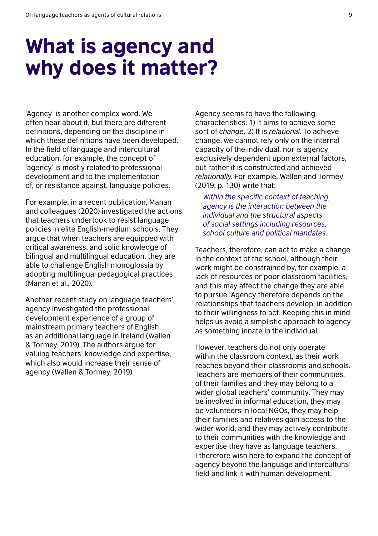## What is agency and why does it matter?

'Agency' is another complex word. We often hear about it, but there are different definitions, depending on the discipline in which these definitions have been developed. In the field of language and intercultural education, for example, the concept of 'agency' is mostly related to professional development and to the implementation of, or resistance against, language policies.

For example, in a recent publication, Manan and colleagues (2020) investigated the actions that teachers undertook to resist language policies in elite English-medium schools. They argue that when teachers are equipped with critical awareness, and solid knowledge of bilingual and multilingual education, they are able to challenge English monoglossia by adopting multilingual pedagogical practices (Manan et al., 2020).

Another recent study on language teachers' agency investigated the professional development experience of a group of mainstream primary teachers of English as an additional language in Ireland (Wallen & Tormey, 2019). The authors argue for valuing teachers' knowledge and expertise, which also would increase their sense of agency (Wallen & Tormey, 2019).

Agency seems to have the following characteristics: 1) It aims to achieve some sort of *change*, 2) It is *relational*. To achieve change, we cannot rely only on the internal capacity of the individual, nor is agency exclusively dependent upon external factors, but rather it is constructed and achieved *relationally*. For example, Wallen and Tormey (2019: p. 130) write that:

*Within the specific context of teaching, agency is the interaction between the individual and the structural aspects of social settings including resources, school culture and political mandates.*

Teachers, therefore, can act to make a change in the context of the school, although their work might be constrained by, for example, a lack of resources or poor classroom facilities, and this may affect the change they are able to pursue. Agency therefore depends on the relationships that teachers develop, in addition to their willingness to act. Keeping this in mind helps us avoid a simplistic approach to agency as something innate in the individual.

However, teachers do not only operate within the classroom context, as their work reaches beyond their classrooms and schools. Teachers are members of their communities, of their families and they may belong to a wider global teachers' community. They may be involved in informal education, they may be volunteers in local NGOs, they may help their families and relatives gain access to the wider world, and they may actively contribute to their communities with the knowledge and expertise they have as language teachers. I therefore wish here to expand the concept of agency beyond the language and intercultural field and link it with human development.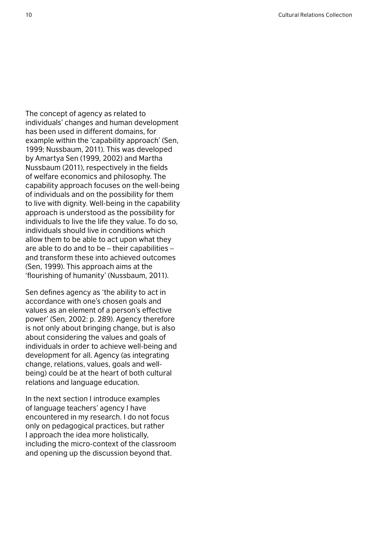10 Cultural Relations Collection

The concept of agency as related to individuals' changes and human development has been used in different domains, for example within the 'capability approach' (Sen, 1999; Nussbaum, 2011). This was developed by Amartya Sen (1999, 2002) and Martha Nussbaum (2011), respectively in the fields of welfare economics and philosophy. The capability approach focuses on the well-being of individuals and on the possibility for them to live with dignity. Well-being in the capability approach is understood as the possibility for individuals to live the life they value. To do so, individuals should live in conditions which allow them to be able to act upon what they are able to do and to be – their capabilities – and transform these into achieved outcomes (Sen, 1999). This approach aims at the 'flourishing of humanity' (Nussbaum, 2011).

Sen defines agency as 'the ability to act in accordance with one's chosen goals and values as an element of a person's effective power' (Sen, 2002: p. 289). Agency therefore is not only about bringing change, but is also about considering the values and goals of individuals in order to achieve well-being and development for all. Agency (as integrating change, relations, values, goals and wellbeing) could be at the heart of both cultural relations and language education.

In the next section I introduce examples of language teachers' agency I have encountered in my research. I do not focus only on pedagogical practices, but rather I approach the idea more holistically, including the micro-context of the classroom and opening up the discussion beyond that.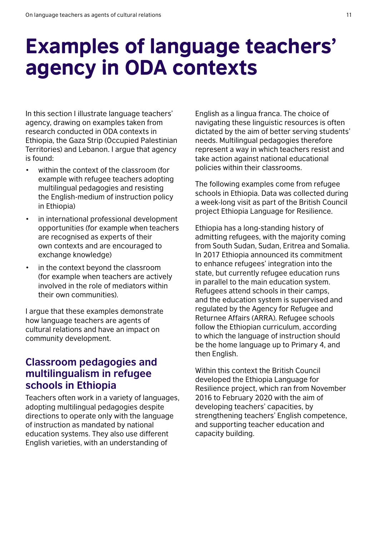## Examples of language teachers' agency in ODA contexts

In this section I illustrate language teachers' agency, drawing on examples taken from research conducted in ODA contexts in Ethiopia, the Gaza Strip (Occupied Palestinian Territories) and Lebanon. I argue that agency is found:

- within the context of the classroom (for example with refugee teachers adopting multilingual pedagogies and resisting the English-medium of instruction policy in Ethiopia)
- in international professional development opportunities (for example when teachers are recognised as experts of their own contexts and are encouraged to exchange knowledge)
- in the context beyond the classroom (for example when teachers are actively involved in the role of mediators within their own communities).

I argue that these examples demonstrate how language teachers are agents of cultural relations and have an impact on community development.

### **Classroom pedagogies and multilingualism in refugee schools in Ethiopia**

Teachers often work in a variety of languages, adopting multilingual pedagogies despite directions to operate only with the language of instruction as mandated by national education systems. They also use different English varieties, with an understanding of

English as a lingua franca. The choice of navigating these linguistic resources is often dictated by the aim of better serving students' needs. Multilingual pedagogies therefore represent a way in which teachers resist and take action against national educational policies within their classrooms.

The following examples come from refugee schools in Ethiopia. Data was collected during a week-long visit as part of the British Council project Ethiopia Language for Resilience.

Ethiopia has a long-standing history of admitting refugees, with the majority coming from South Sudan, Sudan, Eritrea and Somalia. In 2017 Ethiopia announced its commitment to enhance refugees' integration into the state, but currently refugee education runs in parallel to the main education system. Refugees attend schools in their camps, and the education system is supervised and regulated by the Agency for Refugee and Returnee Affairs (ARRA). Refugee schools follow the Ethiopian curriculum, according to which the language of instruction should be the home language up to Primary 4, and then English.

Within this context the British Council developed the Ethiopia Language for Resilience project, which ran from November 2016 to February 2020 with the aim of developing teachers' capacities, by strengthening teachers' English competence, and supporting teacher education and capacity building.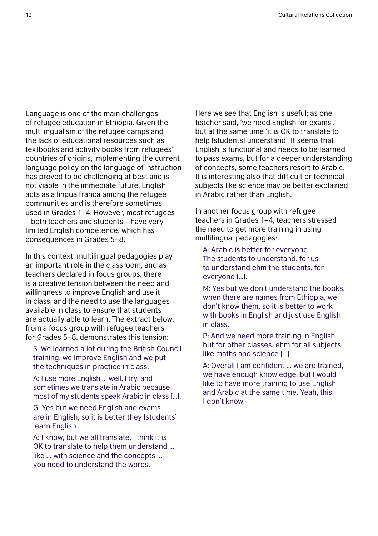Language is one of the main challenges of refugee education in Ethiopia. Given the multilingualism of the refugee camps and the lack of educational resources such as textbooks and activity books from refugees' countries of origins, implementing the current language policy on the language of instruction has proved to be challenging at best and is not viable in the immediate future. English acts as a lingua franca among the refugee communities and is therefore sometimes used in Grades 1–4. However, most refugees – both teachers and students – have very limited English competence, which has consequences in Grades 5–8.

In this context, multilingual pedagogies play an important role in the classroom, and as teachers declared in focus groups, there is a creative tension between the need and willingness to improve English and use it in class, and the need to use the languages available in class to ensure that students are actually able to learn. The extract below, from a focus group with refugee teachers for Grades 5–8, demonstrates this tension:

S: We learned a lot during the British Council training, we improve English and we put the techniques in practice in class.

A: I use more English ... well, I try, and sometimes we translate in Arabic because most of my students speak Arabic in class […].

G: Yes but we need English and exams are in English, so it is better they [students] learn English.

A: I know, but we all translate, I think it is OK to translate to help them understand ... like ... with science and the concepts ... you need to understand the words.

Here we see that English is useful; as one teacher said, 'we need English for exams', but at the same time 'it is OK to translate to help [students] understand'. It seems that English is functional and needs to be learned to pass exams, but for a deeper understanding of concepts, some teachers resort to Arabic. It is interesting also that difficult or technical subjects like science may be better explained in Arabic rather than English.

In another focus group with refugee teachers in Grades 1–4, teachers stressed the need to get more training in using multilingual pedagogies:

A: Arabic is better for everyone. The students to understand, for us to understand ehm the students, for everyone […].

M: Yes but we don't understand the books, when there are names from Ethiopia, we don't know them, so it is better to work with books in English and just use English in class.

P: And we need more training in English but for other classes, ehm for all subjects like maths and science […].

A: Overall I am confident ... we are trained, we have enough knowledge, but I would like to have more training to use English and Arabic at the same time. Yeah, this I don't know.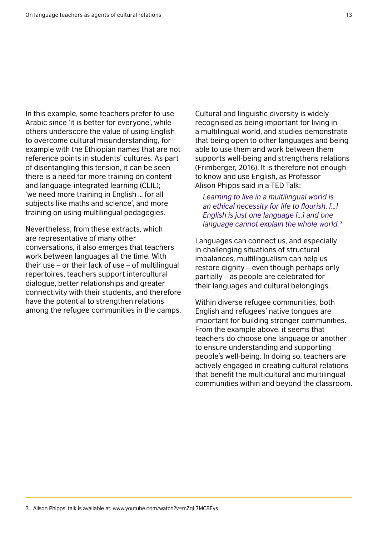In this example, some teachers prefer to use Arabic since 'it is better for everyone', while others underscore the value of using English to overcome cultural misunderstanding, for example with the Ethiopian names that are not reference points in students' cultures. As part of disentangling this tension, it can be seen there is a need for more training on content and language-integrated learning (CLIL); 'we need more training in English … for all subjects like maths and science', and more training on using multilingual pedagogies.

Nevertheless, from these extracts, which are representative of many other conversations, it also emerges that teachers work between languages all the time. With their use – or their lack of use – of multilingual repertoires, teachers support intercultural dialogue, better relationships and greater connectivity with their students, and therefore have the potential to strengthen relations among the refugee communities in the camps.

Cultural and linguistic diversity is widely recognised as being important for living in a multilingual world, and studies demonstrate that being open to other languages and being able to use them and work between them supports well-being and strengthens relations (Frimberger, 2016). It is therefore not enough to know and use English, as Professor Alison Phipps said in a TED Talk:

*Learning to live in a multilingual world is an ethical necessity for life to flourish. […] English is just one language […] and one language cannot explain the whole world.* <sup>3</sup>

Languages can connect us, and especially in challenging situations of structural imbalances, multilingualism can help us restore dignity – even though perhaps only partially – as people are celebrated for their languages and cultural belongings.

Within diverse refugee communities, both English and refugees' native tongues are important for building stronger communities. From the example above, it seems that teachers do choose one language or another to ensure understanding and supporting people's well-being. In doing so, teachers are actively engaged in creating cultural relations that benefit the multicultural and multilingual communities within and beyond the classroom.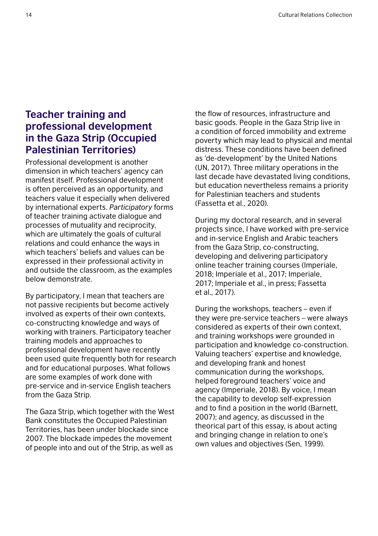### **Teacher training and professional development in the Gaza Strip (Occupied Palestinian Territories)**

Professional development is another dimension in which teachers' agency can manifest itself. Professional development is often perceived as an opportunity, and teachers value it especially when delivered by international experts. *Participatory* forms of teacher training activate dialogue and processes of mutuality and reciprocity, which are ultimately the goals of cultural relations and could enhance the ways in which teachers' beliefs and values can be expressed in their professional activity in and outside the classroom, as the examples below demonstrate.

By participatory, I mean that teachers are not passive recipients but become actively involved as experts of their own contexts, co-constructing knowledge and ways of working with trainers. Participatory teacher training models and approaches to professional development have recently been used quite frequently both for research and for educational purposes. What follows are some examples of work done with pre-service and in-service English teachers from the Gaza Strip.

The Gaza Strip, which together with the West Bank constitutes the Occupied Palestinian Territories, has been under blockade since 2007. The blockade impedes the movement of people into and out of the Strip, as well as

the flow of resources, infrastructure and basic goods. People in the Gaza Strip live in a condition of forced immobility and extreme poverty which may lead to physical and mental distress. These conditions have been defined as 'de-development' by the United Nations (UN, 2017). Three military operations in the last decade have devastated living conditions, but education nevertheless remains a priority for Palestinian teachers and students (Fassetta et al., 2020).

During my doctoral research, and in several projects since, I have worked with pre-service and in-service English and Arabic teachers from the Gaza Strip, co-constructing, developing and delivering participatory online teacher training courses (Imperiale, 2018; Imperiale et al., 2017; Imperiale, 2017; Imperiale et al., in press; Fassetta et al., 2017).

During the workshops, teachers – even if they were pre-service teachers – were always considered as experts of their own context, and training workshops were grounded in participation and knowledge co-construction. Valuing teachers' expertise and knowledge, and developing frank and honest communication during the workshops, helped foreground teachers' voice and agency (Imperiale, 2018). By voice, I mean the capability to develop self-expression and to find a position in the world (Barnett, 2007); and agency, as discussed in the theorical part of this essay, is about acting and bringing change in relation to one's own values and objectives (Sen, 1999).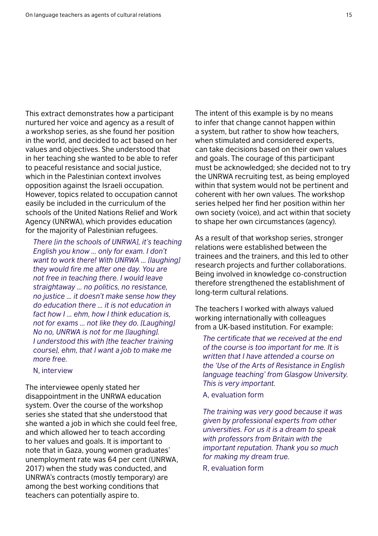This extract demonstrates how a participant nurtured her voice and agency as a result of a workshop series, as she found her position in the world, and decided to act based on her values and objectives. She understood that in her teaching she wanted to be able to refer to peaceful resistance and social justice, which in the Palestinian context involves opposition against the Israeli occupation. However, topics related to occupation cannot easily be included in the curriculum of the schools of the United Nations Relief and Work Agency (UNRWA), which provides education for the majority of Palestinian refugees.

*There [in the schools of UNRWA], it's teaching English you know ... only for exam. I don't want to work there! With UNRWA ... [laughing] they would fire me after one day. You are not free in teaching there. I would leave straightaway ... no politics, no resistance, no justice ... it doesn't make sense how they do education there ... it is not education in fact how I ... ehm, how I think education is, not for exams ... not like they do. [Laughing] No no, UNRWA is not for me [laughing]. I understood this with [the teacher training course], ehm, that I want a job to make me more free.* 

#### N, interview

The interviewee openly stated her disappointment in the UNRWA education system. Over the course of the workshop series she stated that she understood that she wanted a job in which she could feel free, and which allowed her to teach according to her values and goals. It is important to note that in Gaza, young women graduates' unemployment rate was 64 per cent (UNRWA, 2017) when the study was conducted, and UNRWA's contracts (mostly temporary) are among the best working conditions that teachers can potentially aspire to.

The intent of this example is by no means to infer that change cannot happen within a system, but rather to show how teachers, when stimulated and considered experts, can take decisions based on their own values and goals. The courage of this participant must be acknowledged; she decided not to try the UNRWA recruiting test, as being employed within that system would not be pertinent and coherent with her own values. The workshop series helped her find her position within her own society (voice), and act within that society to shape her own circumstances (agency).

As a result of that workshop series, stronger relations were established between the trainees and the trainers, and this led to other research projects and further collaborations. Being involved in knowledge co-construction therefore strengthened the establishment of long-term cultural relations.

The teachers I worked with always valued working internationally with colleagues from a UK-based institution. For example:

*The certificate that we received at the end of the course is too important for me. It is written that I have attended a course on the 'Use of the Arts of Resistance in English language teaching' from Glasgow University. This is very important.* 

A, evaluation form

*The training was very good because it was given by professional experts from other universities. For us it is a dream to speak with professors from Britain with the important reputation. Thank you so much for making my dream true.* 

R, evaluation form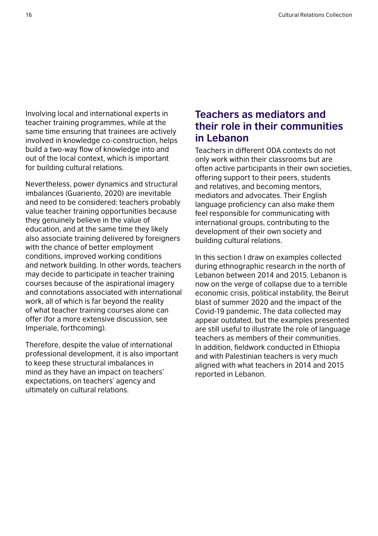Involving local and international experts in teacher training programmes, while at the same time ensuring that trainees are actively involved in knowledge co-construction, helps build a two-way flow of knowledge into and out of the local context, which is important for building cultural relations.

Nevertheless, power dynamics and structural imbalances (Guariento, 2020) are inevitable and need to be considered: teachers probably value teacher training opportunities because they genuinely believe in the value of education, and at the same time they likely also associate training delivered by foreigners with the chance of better employment conditions, improved working conditions and network building. In other words, teachers may decide to participate in teacher training courses because of the aspirational imagery and connotations associated with international work, all of which is far beyond the reality of what teacher training courses alone can offer (for a more extensive discussion, see Imperiale, forthcoming).

Therefore, despite the value of international professional development, it is also important to keep these structural imbalances in mind as they have an impact on teachers' expectations, on teachers' agency and ultimately on cultural relations.

### **Teachers as mediators and their role in their communities in Lebanon**

Teachers in different ODA contexts do not only work within their classrooms but are often active participants in their own societies, offering support to their peers, students and relatives, and becoming mentors, mediators and advocates. Their English language proficiency can also make them feel responsible for communicating with international groups, contributing to the development of their own society and building cultural relations.

In this section I draw on examples collected during ethnographic research in the north of Lebanon between 2014 and 2015. Lebanon is now on the verge of collapse due to a terrible economic crisis, political instability, the Beirut blast of summer 2020 and the impact of the Covid-19 pandemic. The data collected may appear outdated, but the examples presented are still useful to illustrate the role of language teachers as members of their communities. In addition, fieldwork conducted in Ethiopia and with Palestinian teachers is very much aligned with what teachers in 2014 and 2015 reported in Lebanon.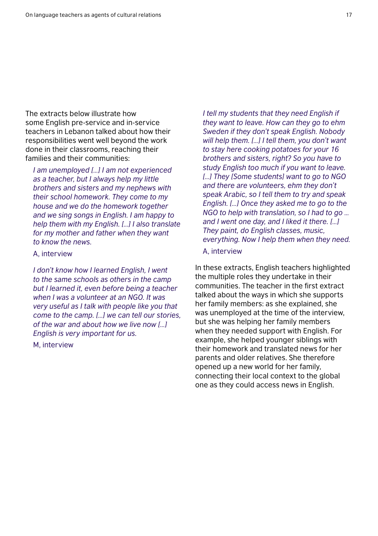The extracts below illustrate how some English pre-service and in-service teachers in Lebanon talked about how their responsibilities went well beyond the work done in their classrooms, reaching their families and their communities:

*I am unemployed […] I am not experienced as a teacher, but I always help my little brothers and sisters and my nephews with their school homework. They come to my house and we do the homework together and we sing songs in English. I am happy to help them with my English. […] I also translate for my mother and father when they want to know the news.* 

#### A, interview

*I don't know how I learned English, I went to the same schools as others in the camp but I learned it, even before being a teacher when I was a volunteer at an NGO. It was very useful as I talk with people like you that come to the camp. […] we can tell our stories, of the war and about how we live now […] English is very important for us.* 

M, interview

*I tell my students that they need English if they want to leave. How can they go to ehm Sweden if they don't speak English. Nobody will help them. […] I tell them, you don't want to stay here cooking potatoes for your 16 brothers and sisters, right? So you have to study English too much if you want to leave. […] They [Some students] want to go to NGO and there are volunteers, ehm they don't speak Arabic, so I tell them to try and speak English. […] Once they asked me to go to the NGO to help with translation, so I had to go … and I went one day, and I liked it there. […] They paint, do English classes, music, everything. Now I help them when they need.* 

#### A, interview

In these extracts, English teachers highlighted the multiple roles they undertake in their communities. The teacher in the first extract talked about the ways in which she supports her family members: as she explained, she was unemployed at the time of the interview, but she was helping her family members when they needed support with English. For example, she helped younger siblings with their homework and translated news for her parents and older relatives. She therefore opened up a new world for her family, connecting their local context to the global one as they could access news in English.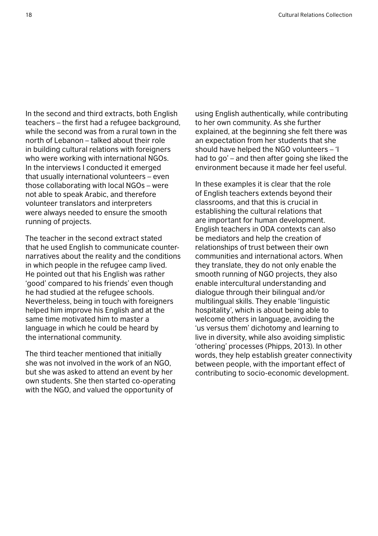In the second and third extracts, both English teachers – the first had a refugee background, while the second was from a rural town in the north of Lebanon – talked about their role in building cultural relations with foreigners who were working with international NGOs. In the interviews I conducted it emerged that usually international volunteers – even those collaborating with local NGOs – were not able to speak Arabic, and therefore volunteer translators and interpreters were always needed to ensure the smooth running of projects.

The teacher in the second extract stated that he used English to communicate counternarratives about the reality and the conditions in which people in the refugee camp lived. He pointed out that his English was rather 'good' compared to his friends' even though he had studied at the refugee schools. Nevertheless, being in touch with foreigners helped him improve his English and at the same time motivated him to master a language in which he could be heard by the international community.

The third teacher mentioned that initially she was not involved in the work of an NGO, but she was asked to attend an event by her own students. She then started co-operating with the NGO, and valued the opportunity of

using English authentically, while contributing to her own community. As she further explained, at the beginning she felt there was an expectation from her students that she should have helped the NGO volunteers – 'I had to go' – and then after going she liked the environment because it made her feel useful.

In these examples it is clear that the role of English teachers extends beyond their classrooms, and that this is crucial in establishing the cultural relations that are important for human development. English teachers in ODA contexts can also be mediators and help the creation of relationships of trust between their own communities and international actors. When they translate, they do not only enable the smooth running of NGO projects, they also enable intercultural understanding and dialogue through their bilingual and/or multilingual skills. They enable 'linguistic hospitality', which is about being able to welcome others in language, avoiding the 'us versus them' dichotomy and learning to live in diversity, while also avoiding simplistic 'othering' processes (Phipps, 2013). In other words, they help establish greater connectivity between people, with the important effect of contributing to socio-economic development.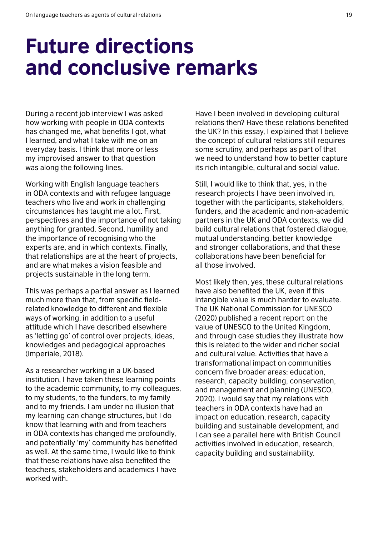## Future directions and conclusive remarks

During a recent job interview I was asked how working with people in ODA contexts has changed me, what benefits I got, what I learned, and what I take with me on an everyday basis. I think that more or less my improvised answer to that question was along the following lines.

Working with English language teachers in ODA contexts and with refugee language teachers who live and work in challenging circumstances has taught me a lot. First, perspectives and the importance of not taking anything for granted. Second, humility and the importance of recognising who the experts are, and in which contexts. Finally, that relationships are at the heart of projects, and are what makes a vision feasible and projects sustainable in the long term.

This was perhaps a partial answer as I learned much more than that, from specific fieldrelated knowledge to different and flexible ways of working, in addition to a useful attitude which I have described elsewhere as 'letting go' of control over projects, ideas, knowledges and pedagogical approaches (Imperiale, 2018).

As a researcher working in a UK-based institution, I have taken these learning points to the academic community, to my colleagues, to my students, to the funders, to my family and to my friends. I am under no illusion that my learning can change structures, but I do know that learning with and from teachers in ODA contexts has changed me profoundly, and potentially 'my' community has benefited as well. At the same time, I would like to think that these relations have also benefited the teachers, stakeholders and academics I have worked with

Have I been involved in developing cultural relations then? Have these relations benefited the UK? In this essay, I explained that I believe the concept of cultural relations still requires some scrutiny, and perhaps as part of that we need to understand how to better capture its rich intangible, cultural and social value.

Still, I would like to think that, yes, in the research projects I have been involved in, together with the participants, stakeholders, funders, and the academic and non-academic partners in the UK and ODA contexts, we did build cultural relations that fostered dialogue, mutual understanding, better knowledge and stronger collaborations, and that these collaborations have been beneficial for all those involved.

Most likely then, yes, these cultural relations have also benefited the UK, even if this intangible value is much harder to evaluate. The UK National Commission for UNESCO (2020) published a recent report on the value of UNESCO to the United Kingdom, and through case studies they illustrate how this is related to the wider and richer social and cultural value. Activities that have a transformational impact on communities concern five broader areas: education, research, capacity building, conservation, and management and planning (UNESCO, 2020). I would say that my relations with teachers in ODA contexts have had an impact on education, research, capacity building and sustainable development, and I can see a parallel here with British Council activities involved in education, research, capacity building and sustainability.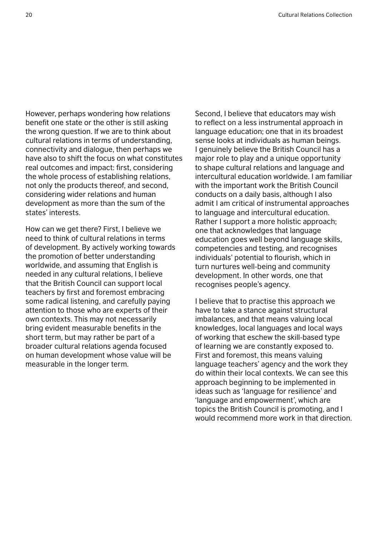However, perhaps wondering how relations benefit one state or the other is still asking the wrong question. If we are to think about cultural relations in terms of understanding, connectivity and dialogue, then perhaps we have also to shift the focus on what constitutes real outcomes and impact: first, considering the whole process of establishing relations, not only the products thereof, and second, considering wider relations and human development as more than the sum of the states' interests.

How can we get there? First, I believe we need to think of cultural relations in terms of development. By actively working towards the promotion of better understanding worldwide, and assuming that English is needed in any cultural relations, I believe that the British Council can support local teachers by first and foremost embracing some radical listening, and carefully paying attention to those who are experts of their own contexts. This may not necessarily bring evident measurable benefits in the short term, but may rather be part of a broader cultural relations agenda focused on human development whose value will be measurable in the longer term.

Second, I believe that educators may wish to reflect on a less instrumental approach in language education; one that in its broadest sense looks at individuals as human beings. I genuinely believe the British Council has a major role to play and a unique opportunity to shape cultural relations and language and intercultural education worldwide. I am familiar with the important work the British Council conducts on a daily basis, although I also admit I am critical of instrumental approaches to language and intercultural education. Rather I support a more holistic approach; one that acknowledges that language education goes well beyond language skills, competencies and testing, and recognises individuals' potential to flourish, which in turn nurtures well-being and community development. In other words, one that recognises people's agency.

I believe that to practise this approach we have to take a stance against structural imbalances, and that means valuing local knowledges, local languages and local ways of working that eschew the skill-based type of learning we are constantly exposed to. First and foremost, this means valuing language teachers' agency and the work they do within their local contexts. We can see this approach beginning to be implemented in ideas such as 'language for resilience' and 'language and empowerment', which are topics the British Council is promoting, and I would recommend more work in that direction.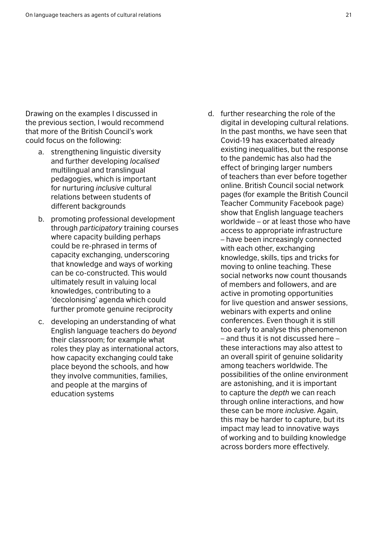Drawing on the examples I discussed in the previous section, I would recommend that more of the British Council's work could focus on the following:

- a. strengthening linguistic diversity and further developing *localised* multilingual and translingual pedagogies, which is important for nurturing *inclusive* cultural relations between students of different backgrounds
- b. promoting professional development through *participatory* training courses where capacity building perhaps could be re-phrased in terms of capacity exchanging, underscoring that knowledge and ways of working can be co-constructed. This would ultimately result in valuing local knowledges, contributing to a 'decolonising' agenda which could further promote genuine reciprocity
- c. developing an understanding of what English language teachers do *beyond* their classroom; for example what roles they play as international actors, how capacity exchanging could take place beyond the schools, and how they involve communities, families, and people at the margins of education systems
- d. further researching the role of the digital in developing cultural relations. In the past months, we have seen that Covid-19 has exacerbated already existing inequalities, but the response to the pandemic has also had the effect of bringing larger numbers of teachers than ever before together online. British Council social network pages (for example the British Council Teacher Community Facebook page) show that English language teachers worldwide – or at least those who have access to appropriate infrastructure – have been increasingly connected with each other, exchanging knowledge, skills, tips and tricks for moving to online teaching. These social networks now count thousands of members and followers, and are active in promoting opportunities for live question and answer sessions, webinars with experts and online conferences. Even though it is still too early to analyse this phenomenon – and thus it is not discussed here – these interactions may also attest to an overall spirit of genuine solidarity among teachers worldwide. The possibilities of the online environment are astonishing, and it is important to capture the *depth* we can reach through online interactions, and how these can be more *inclusive*. Again, this may be harder to capture, but its impact may lead to innovative ways of working and to building knowledge across borders more effectively.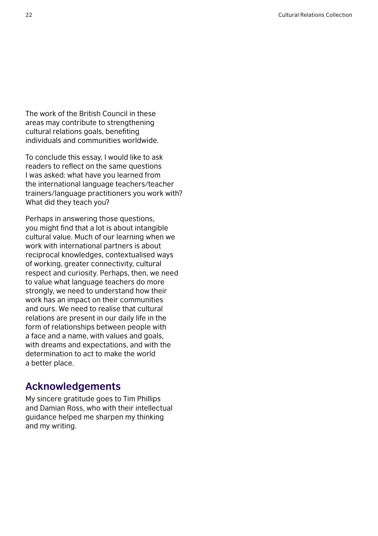The work of the British Council in these areas may contribute to strengthening cultural relations goals, benefiting individuals and communities worldwide.

To conclude this essay, I would like to ask readers to reflect on the same questions I was asked: what have you learned from the international language teachers/teacher trainers/language practitioners you work with? What did they teach you?

Perhaps in answering those questions, you might find that a lot is about intangible cultural value. Much of our learning when we work with international partners is about reciprocal knowledges, contextualised ways of working, greater connectivity, cultural respect and curiosity. Perhaps, then, we need to value what language teachers do more strongly, we need to understand how their work has an impact on their communities and ours. We need to realise that cultural relations are present in our daily life in the form of relationships between people with a face and a name, with values and goals, with dreams and expectations, and with the determination to act to make the world a better place.

### **Acknowledgements**

My sincere gratitude goes to Tim Phillips and Damian Ross, who with their intellectual guidance helped me sharpen my thinking and my writing.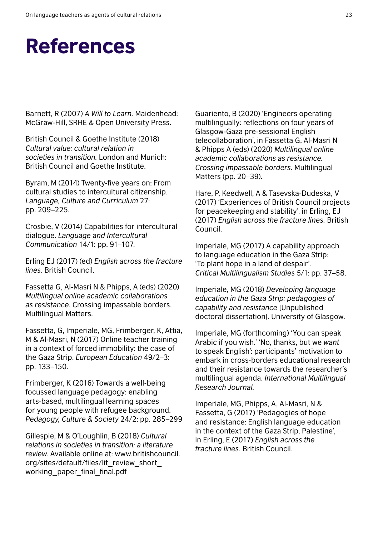## References

Barnett, R (2007) *A Will to Learn.* Maidenhead: McGraw-Hill, SRHE & Open University Press.

British Council & Goethe Institute (2018) *Cultural value: cultural relation in societies in transition.* London and Munich: British Council and Goethe Institute.

Byram, M (2014) Twenty-five years on: From cultural studies to intercultural citizenship. *Language, Culture and Curriculum* 27: pp. 209–225.

Crosbie, V (2014) Capabilities for intercultural dialogue. *Language and Intercultural Communication* 14/1: pp. 91–107.

Erling EJ (2017) (ed) *English across the fracture lines.* British Council.

Fassetta G, Al-Masri N & Phipps, A (eds) (2020) *Multilingual online academic collaborations as resistance.* Crossing impassable borders. Multilingual Matters.

Fassetta, G, Imperiale, MG, Frimberger, K, Attia, M & Al-Masri, N (2017) Online teacher training in a context of forced immobility: the case of the Gaza Strip. *European Education* 49/2–3: pp. 133–150.

Frimberger, K (2016) Towards a well-being focussed language pedagogy: enabling arts-based, multilingual learning spaces for young people with refugee background. *Pedagogy, Culture & Society* 24/2: pp. 285–299

Gillespie, M & O'Loughlin, B (2018) *Cultural relations in societies in transition: a literature review.* Available online at: [www.britishcouncil.](http://www.britishcouncil.org/sites/default/files/lit_review_short_working_paper_final_final.pdf) [org/sites/default/files/lit\\_review\\_short\\_](http://www.britishcouncil.org/sites/default/files/lit_review_short_working_paper_final_final.pdf) working\_paper\_final\_final.pdf

Guariento, B (2020) 'Engineers operating multilingually: reflections on four years of Glasgow-Gaza pre-sessional English telecollaboration', in Fassetta G, Al-Masri N & Phipps A (eds) (2020) *Multilingual online academic collaborations as resistance. Crossing impassable borders.* Multilingual Matters (pp. 20–39).

Hare, P, Keedwell, A & Tasevska-Dudeska, V (2017) 'Experiences of British Council projects for peacekeeping and stability', in Erling, EJ (2017) *English across the fracture lines.* British Council.

Imperiale, MG (2017) A capability approach to language education in the Gaza Strip: 'To plant hope in a land of despair'. *Critical Multilingualism Studies* 5/1: pp. 37–58.

Imperiale, MG (2018) *Developing language education in the Gaza Strip: pedagogies of capability and resistance* [Unpublished doctoral dissertation]. University of Glasgow.

Imperiale, MG (forthcoming) 'You can speak Arabic if you wish.' 'No, thanks, but we *want* to speak English': participants' motivation to embark in cross-borders educational research and their resistance towards the researcher's multilingual agenda. *International Multilingual Research Journal.*

Imperiale, MG, Phipps, A, Al-Masri, N & Fassetta, G (2017) 'Pedagogies of hope and resistance: English language education in the context of the Gaza Strip, Palestine', in Erling, E (2017) *English across the fracture lines.* British Council.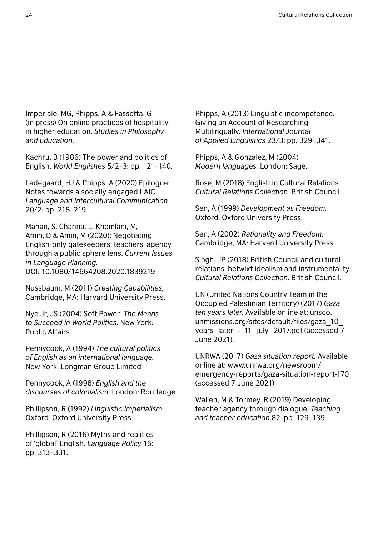Imperiale, MG, Phipps, A & Fassetta, G (in press) On online practices of hospitality in higher education. *Studies in Philosophy and Education.*

Kachru, B (1986) The power and politics of English. *World Englishes* 5/2–3: pp. 121–140.

Ladegaard, HJ & Phipps, A (2020) Epilogue: Notes towards a socially engaged LAIC. *Language and Intercultural Communication* 20/2: pp. 218–219.

Manan, S, Channa, L, Khemlani, M, Amin, D & Amin, M (2020): Negotiating English-only gatekeepers: teachers' agency through a public sphere lens. *Current Issues in Language Planning.* DOI: 10.1080/14664208.2020.1839219

Nussbaum, M (2011) *Creating Capabilities,* Cambridge, MA: Harvard University Press.

Nye Jr, JS (2004) Soft Power: *The Means to Succeed in World Politics.* New York: Public Affairs.

Pennycook, A (1994) *The cultural politics of English as an international language.*  New York: Longman Group Limited

Pennycook, A (1998) *English and the discourses of colonialism.* London: Routledge

Phillipson, R (1992) *Linguistic Imperialism.* Oxford: Oxford University Press.

Phillipson, R (2016) Myths and realities of 'global' English. *Language Policy* 16: pp. 313–331.

Phipps, A (2013) Linguistic incompetence: Giving an Account of Researching Multilingually. *International Journal of Applied Linguistics* 23/3: pp. 329–341.

Phipps, A & Gonzalez, M (2004) *Modern languages.* London: Sage.

Rose, M (2018) English in Cultural Relations. *Cultural Relations Collection.* British Council.

Sen, A (1999) *Development as Freedom.* Oxford: Oxford University Press.

Sen, A (2002) *Rationality and Freedom,* Cambridge, MA: Harvard University Press.

Singh, JP (2018) British Council and cultural relations: betwixt idealism and instrumentality. *Cultural Relations Collection.* British Council.

UN (United Nations Country Team in the Occupied Palestinian Territory) (2017) *Gaza ten years later.* Available online at: [unsco.](http://unsco.unmissions.org/sites/default/files/gaza_10_years_later_-_11_july_2017.pdf) [unmissions.org/sites/default/files/gaza\\_10\\_](http://unsco.unmissions.org/sites/default/files/gaza_10_years_later_-_11_july_2017.pdf) years\_later\_ -\_ 11\_july\_2017.pdf (accessed 7 June 2021).

UNRWA (2017) *Gaza situation report.* Available online at: [www.unrwa.org/newsroom/](http://www.unrwa.org/newsroom/emergency-reports/gaza-situation-report-170) [emergency-reports/gaza-situation-report-170](http://www.unrwa.org/newsroom/emergency-reports/gaza-situation-report-170)  (accessed 7 June 2021).

Wallen, M & Tormey, R (2019) Developing teacher agency through dialogue. *Teaching and teacher education* 82: pp. 129–139.